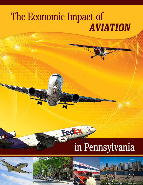# The Economic Impact of **AVIATION**

FedEx

# in Pennsylvania



 $ed$ 



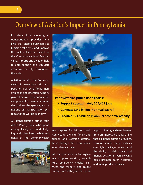## Overview of Aviation's Impact in Pennsylvania

In today's global economy, air transportation provides vital links that enable businesses to function efficiently and improve the quality of life for residents of the Commonwealth of Pennsylvania. Airports and aviation help to both support and stimulate economic activity throughout the state.

Aviation benefits the Commonwealth in many ways. Air transportation is essential for business attraction and retention. Airports play a key role in economic development for many communities and are the gateway to the nation's air transportation system and the world's economy.

Air transportation brings tourists to Pennsylvania, who spend money locally on food, lodging, and other items, while residents of the Commonwealth





- **• Generate \$9.2 billion in annual payroll**
- **• Produce \$23.6 billion in annual economic activity**

use airports for leisure travel, connecting them to family and friends and vacation destinations through the convenience of modern air travel.

Air transportation in Pennsylvania supports tourism, agriculture, emergency medical services, the military, and public safety. Even if they never use an

airport directly, citizens benefit from an improved quality of life that air transportation provides. Through simple things such as overnight package delivery and the ability to visit family and friends, aviation in Pennsylvania helps promote safer, healthier, and more productive lives.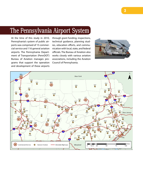# The Pennsylvania Airport System

At the time of this study in 2010, Pennsylvania's system of public airports was comprised of 15 commercial service and 116 general aviation airports. The Pennsylvania Department of Transportation (PennDOT) Bureau of Aviation manages programs that support the operation and development of these airports

through grant funding, inspections, technical guidance, planning studies, education efforts, and communication with local, state, and federal officials. The Bureau of Aviation also works closely with various aviation associations, including the Aviation Council of Pennsylvania.



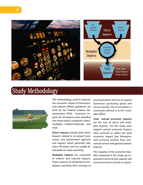

# Study Methodology



The methodology used to measure the economic impact of Pennsylvania's airports follows guidelines set forth by the Federal Aviation Administration (FAA). Economic impacts for all airports were classified into three impact categories: direct, multiplier (indirect/induced), and total.

**Direct impacts** include both direct impacts related to on-airport businesses and government agencies and impacts which generally take place off-airport and are usually attributable to visitor spending.

**Multiplier impacts** are comprised of indirect and induced impacts. These impacts are attributed to employees spending their earnings at local businesses and the on-airport businesses purchasing goods and services locally. This re-circulation is commonly referred to as the "multiplier effect."

**Total annual economic impacts** are the sum of direct and multiplier impacts. For this study, each airport's annual economic impacts were summed to reflect the total economic impact that Pennsylvania's economy receives from commercial service and general aviation airports.

The majority of the economic benefits measured in this study are expressed in terms of jobs, payroll, and annual economic activity or output.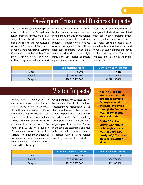# On-Airport Tenant and Business Impacts

The spectrum of tenants doing business on airports in Pennsylvania ranges from US Airways' major passenger hub at Philadelphia International Airport to the Pennsylvania Army and Air National Guard units at John Murtha Johnstown-Cambria County Airport to the Hershey Company's corporate flight department at Harrisburg International Airport.

Economic impacts from on-airport businesses and tenants measured in this study include those related to airlines, ground transportation providers, terminal concessionaires, government agencies, the military, fixed base operators (FBOs), maintenance and repair providers, flight instructors, air charter operators, agricultural sprayers, and others.

Economic impacts reflected in this category include those associated with construction projects undertaken by either the airport or one of its tenants. Economic impacts associated with airport businesses and tenants at study airports are shown in the following table. These total impacts reflect all direct and multiplier impacts.

|         | <b>Commercial Airports</b> | <b>General Aviation Airports</b> |
|---------|----------------------------|----------------------------------|
| Jobs    | 78,708                     | 7,219                            |
| Payroll | \$3,291,287,300            | \$305,418,800                    |
| Output  | \$10,019,485,700           | \$1,228,652,400                  |

# Visitor Impacts

Visitors travel to Pennsylvania by air for both business and pleasure. For the study period, an estimated 5.9 million visitors arrived in Pennsylvania via approximately 15 different domestic and international airlines providing service to the 15 commercial service airports. Another 602,500 visitors arrived in Pennsylvania on general aviation aircraft. These general aviation visitors arrived at both commercial service and general aviation airports included in this study.

Once in Pennsylvania, these visitors have expenditures for hotels, food, entertainment, recreational activities, shopping, and other transportation. Expenditures made by visitors who travel to Pennsylvania by air support additional aviation-related jobs, payroll, and output. Shown in the table are total direct and multiplier annual economic impacts associated with all visitor-related spending measured in this study.

- **• Nearly 6.5 million visitors use the study airports to travel to Pennsylvania, with the majority coming through the Commonwealth's commercial service airports.**
- **• Of the 6.5 million visitors who arrived in Pennsylvania via the study airports, nearly 602,500 arrived on general aviation aircraft.**

|         | <b>Commercial Service Airports</b> | <b>General Aviation Airports</b> |
|---------|------------------------------------|----------------------------------|
| Jobs    | 210,144                            | 1,329                            |
| Payroll | \$5,295,819,400                    | \$34,273,000                     |
| Output  | \$11,520,853,800                   | \$81,688,600                     |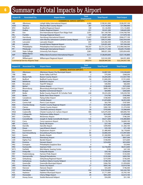# <sup>6</sup> Summary of Total Impacts by Airport

| <b>Airport ID</b> | <b>Associated City</b>                   | <b>Airport Name</b>                          | <b>Total</b><br><b>Employment</b> | <b>Total Payroll</b> | <b>Total Output</b> |
|-------------------|------------------------------------------|----------------------------------------------|-----------------------------------|----------------------|---------------------|
|                   |                                          | <b>COMMERCIAL SERVICE AIRPORTS</b>           |                                   |                      |                     |
| ABE               | Allentown                                | Lehigh Valley International Airport          | 6,086                             | \$190,561,000        | \$528,297,100       |
| AOO               | Altoona                                  | Altoona-Blair County Airport                 | 287                               | \$10,145,000         | \$31,986,900        |
| <b>BFD</b>        | <b>Bradford</b>                          | <b>Bradford Regional Airport</b>             | 149                               | \$5,126,900          | \$15,135,800        |
| <b>DUJ</b>        | <b>DuBois</b>                            | <b>DuBois Regional Airport</b>               | 251                               | \$9,541,200          | \$28,645,200        |
| ERI               | Erie                                     | Erie International Airport/Tom Ridge Field   | 2,051                             | \$61,109,700         | \$164,700,700       |
| <b>FKL</b>        | Franklin                                 | Venango Regional Airport                     | 149                               | \$4,971,800          | \$17,079,100        |
| <b>MDT</b>        | Harrisburg                               | Harrisburg International Airport             | 11,627                            | \$358,887,000        | \$946,577,100       |
| <b>JST</b>        | Johnstown                                | John Murtha Johnstown-Cambria County Airport | 2,342                             | \$99,515,400         | \$302,934,500       |
| <b>LNS</b>        | Lancaster                                | Lancaster Airport                            | 657                               | \$23,582,300         | \$76,395,500        |
| <b>LBE</b>        | Latrobe                                  | Arnold Palmer Regional Airport               | 516                               | \$24,091,600         | \$97,594,300        |
| PHL               | Philadelphia                             | Philadelphia International Airport           | 196,507                           | \$5,731,523,700      | \$13,900,508,500    |
| PIT               | Pittsburgh                               | Pittsburgh International Airport             | 67,219                            | \$2,078,171,500      | \$5,629,170,400     |
| <b>UNV</b>        | <b>State College</b>                     | <b>University Park Airport</b>               | 2,861                             | \$80,021,300         | \$203,834,400       |
| <b>AVP</b>        | Wilkes-Barre/<br>Scranton                | Wilkes-Barre/Scranton International Airport  | 4,511                             | \$128,693,600        | \$327,145,800       |
| <b>IPT</b>        | Williamsport                             | Williamsport Regional Airport                | 701                               | \$22,542,300         | \$64,931,800        |
|                   | <b>Commercial Service Airports Total</b> |                                              | 295,914                           | \$8,828,484,300      | \$22,334,937,100    |

| <b>Airport ID</b> | <b>Associated City</b> | <b>Airport Name</b>                        | <b>Total</b><br><b>Employment</b> | <b>Total Payroll</b> | <b>Total Output</b> |
|-------------------|------------------------|--------------------------------------------|-----------------------------------|----------------------|---------------------|
|                   |                        | <b>GENERAL AVIATION AIRPORTS</b>           |                                   |                      |                     |
| <b>XLL</b>        | Allentown              | Allentown Queen City Municipal Airport     | 80                                | \$2,887,500          | \$10,540,600        |
| <b>7N8</b>        | Bally                  | <b>Butter Valley Golf Port</b>             | $\overline{2}$                    | \$70,300             | \$268,200           |
| <b>BVI</b>        | <b>Beaver Falls</b>    | <b>Beaver County Airport</b>               | 175                               | \$4,204,200          | \$12,927,700        |
| HMZ               | Bedford                | <b>Bedford County Airport</b>              | 54                                | \$1,840,200          | \$7,912,000         |
| N96               | <b>Bellefonte</b>      | <b>Bellefonte Airport</b>                  | $\overline{7}$                    | \$161,200            | \$663,600           |
| 00A               | Bensalem               | <b>Total RF Heliport</b>                   | $\overline{2}$                    | \$40,900             | \$82,000            |
| <b>8N1</b>        | <b>Bethel</b>          | <b>Grimes Airport</b>                      | $\overline{4}$                    | \$108,400            | \$375,500           |
| N <sub>13</sub>   | Bloomsburg             | <b>Bloomsburg Municipal Airport</b>        | 26                                | \$899,100            | \$3,812,500         |
| <b>9W8</b>        | <b>Brogue</b>          | <b>Baublitz Commercial Airport</b>         | $\overline{2}$                    | \$64,900             | \$283,600           |
| <b>BTP</b>        | <b>Butler</b>          | Butler County Airport/K. W. Scholter Field | 228                               | \$9,223,200          | \$39,239,700        |
| 3G9               | <b>Butler</b>          | <b>Butler Farm Show Airport</b>            | $\mathbf{1}$                      | \$14,700             | \$182,900           |
| 8N4               | Canadensis             | <b>Flying Dollar Airport</b>               | $\overline{4}$                    | \$108,400            | \$386,400           |
| N94               | Carlisle               | <b>Carlisle Airport</b>                    | 48                                | \$1,874,000          | \$6,953,300         |
| N74               | <b>Centre Hall</b>     | Penn's Cave Airport                        | $\overline{2}$                    | \$63,700             | \$187,000           |
| <b>N68</b>        | Chambersburg           | Franklin County Regional Airport           | 31                                | \$576,800            | \$1,822,600         |
| <b>AXQ</b>        | Clarion                | <b>Clarion County Airport</b>              | 10                                | \$282,100            | \$1,274,500         |
| <b>FIG</b>        | Clearfield             | Clearfield-Lawrence Airport                | 20                                | \$743,000            | \$3,380,600         |
| <b>MQS</b>        | Coatesville            | Chester County G.O. Carlson Airport        | 586                               | \$25,070,300         | \$84,840,700        |
| N <sub>10</sub>   | Collegeville           | Perkiomen Valley Airport                   | 19                                | \$610,400            | \$1,878,000         |
| 8N7               | Columbia               | <b>McGinness Airport</b>                   | $\overline{2}$                    | \$54,200             | \$186,200           |
| <b>VVS</b>        | Connellsville          | Joseph A. Hardy Connellsville Airport      | 126                               | \$4,611,600          | \$16,484,800        |
| 8G2               | Corry                  | Corry-Lawrence Airport                     | 25                                | \$1,176,700          | \$4,849,100         |
| 48P               | Cresco                 | <b>Rocky Hill Airport</b>                  | $\mathbf{1}$                      | \$27,100             | \$94,400            |
| <b>8N8</b>        | Danville               | Danville Airport                           | 13                                | \$399,900            | \$1,360,100         |
| <b>PS08</b>       | Dover                  | Lazy B Ranch Airport                       | $\mathbf{1}$                      | \$35,100             | \$71,100            |
| <b>DYL</b>        | Doylestown             | Doylestown Airport                         | 57                                | \$1,480,400          | \$6,178,600         |
| <b>N53</b>        | East Stroudsburg       | Stroudsburg-Pocono Airport                 | 85                                | \$3,806,500          | \$13,997,000        |
| N43               | Easton                 | Braden Airpark                             | 50                                | \$1,360,900          | \$8,212,600         |
| 9G8               | Ebensburg              | <b>Ebensburg Airport</b>                   | $\overline{7}$                    | \$197,900            | \$837,200           |
| 22D               | <b>Eighty Four</b>     | <b>Bandel Airport</b>                      | $\overline{4}$                    | \$108,400            | \$372,600           |
| <b>9N1</b>        | Erwinna                | <b>Vansant Airport</b>                     | $\overline{7}$                    | \$254,000            | \$810,900           |
| 9N2               | Essington              | Philadelphia Seaplane Base                 | $\Omega$                          | \$0                  | \$53,900            |
| <b>9N3</b>        | Factoryville           | <b>Seamans Field</b>                       | 64                                | \$2,736,000          | \$8,012,600         |
| W73               | Fairfield              | Mid Atlantic Soaring Center                | $\mathbf 0$                       | \$100                | \$47,100            |
| G05               | Finleyville            | <b>Finleyville Airpark</b>                 | $\overline{2}$                    | \$50,100             | \$238,500           |
| 9N7               | Fredericksburg         | <b>Farmers Pride Airport</b>               | $\overline{2}$                    | \$19,900             | \$125,500           |
| P91               | Germansville           | Flying M Aerodrome                         | 5                                 | \$135,500            | \$493,700           |
| <b>W05</b>        | Gettysburg             | Gettysburg Regional Airport                | 9                                 | \$219,300            | \$736,200           |
| P98               | Gettysburg             | Southern Adams County Heliport             | 6                                 | \$198,100            | \$521,100           |
| 4G1               | Greenville             | Greenville Municipal Airport               | 9                                 | \$266,700            | \$1,059,000         |
| 29D               | <b>Grove City</b>      | <b>Grove City Airport</b>                  | 27                                | \$693,100            | \$3,019,700         |
| 6W6               | Hanover                | Hanover Airport                            | $\overline{2}$                    | \$54,200             | \$196,500           |
| <b>CXY</b>        | Harrisburg             | <b>Capital City Airport</b>                | 234                               | \$10,763,600         | \$42,242,700        |
| <b>HZL</b>        | Hazleton               | Hazleton Municipal Airport                 | 48                                | \$1,711,000          | \$5,705,100         |
| N30               | Honesdale              | <b>Cherry Ridge Airport</b>                | 24                                | \$853,200            | \$2,614,100         |
| 02P               | <b>Honey Grove</b>     | <b>Stottle Memorial Heliport</b>           | $\overline{2}$                    | \$54,200             | \$51,100            |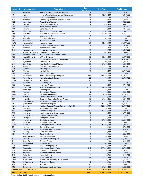| N48<br>Horsham<br>Horsham Valley Airways Inc. Heliport<br>16<br>\$625,100<br>\$3,019,000<br>IDI<br>Indiana<br>88<br>\$10,819,900<br>Indiana County/Jimmy Stewart Field Airport<br>\$2,752,200<br>$\mathbf{0}$<br>31D<br>\$0<br>Irwin<br><b>Inter County Airport</b><br>\$400<br>9<br>\$419,400<br>\$1,686,700<br>5G8<br>Jeannette<br>Greensburg Jeannette Regional Airport<br>$\overline{2}$<br>P96<br>\$54,200<br>\$224,300<br>Jersey Shore<br>Jersey Shore Airport<br>Bermudian Valley Airpark<br>$\overline{4}$<br>\$387,500<br>07N<br>Kralltown<br>\$108,400<br>$\overline{2}$<br>\$40,600<br>08N<br>Lebanon<br>Keller Brothers Airport<br>\$213,800<br>14N<br>$\overline{4}$<br>\$100,200<br>\$415,900<br>Lehighton<br><b>Beltzville Airport</b><br>58<br><b>22N</b><br>Jake Arner Memorial Airport<br>\$2,653,100<br>\$11,002,000<br>Lehighton<br>51<br>LHV<br>\$6,835,400<br>Lock Haven<br>William T. Piper Memorial Airport<br>\$1,936,000<br>$\overline{0}$<br>P09<br><b>Mars</b><br>\$0<br>\$1,800<br>Lakehill Airport<br>69<br>GKJ<br>Meadville<br>Port Meadville Airport<br>\$3,627,800<br>\$12,258,800<br>13<br>P34<br>Mifflintown<br>\$327,900<br>\$1,199,300<br><b>Mifflintown Airport</b><br><b>FWQ</b><br>138<br>\$20,477,800<br>Monongahela<br>Rostraver Airport<br>\$5,994,100<br>$\mathbf 0$<br>4G <sub>0</sub><br>Pittsburgh-Monroeville Airport<br>\$0<br>\$16,200<br>Monroeville<br>$\overline{2}$<br>\$68,800<br>\$187,300<br>P32<br>Montrose<br>Husky Haven Airport<br>10<br>O03<br><b>Morgantown Airport</b><br>\$390,700<br>\$1,867,000<br>Morgantown<br>N71<br>24<br>\$829,400<br>\$3,486,900<br>Mount Joy/Marietta<br>Donegal Springs Airpark<br>$\mathbf 0$<br>P45<br>Mount Pleasant/Scottdale Airport<br>\$0<br>\$6,600<br><b>Mount Pleasant</b><br>82<br>P99<br><b>Mount Pleasant</b><br>\$3,824,300<br>\$13,070,300<br>W.P.H.S. Heliport<br><b>MPO</b><br><b>Mount Pocono</b><br>41<br>\$1,306,700<br>\$4,929,200<br>Pocono Mountains Municipal Airport<br>26<br>9D4<br>Deck Airport<br>\$998,100<br>\$3,471,600<br>Myerstown<br><b>UCP</b><br><b>New Castle</b><br>New Castle Municipal Airport<br>33<br>\$4,439,900<br>\$1,076,300<br>7G4<br>$\overline{4}$<br>\$191,200<br><b>Blue Knob Valley Airport</b><br>\$674,100<br>Newry<br>$\overline{0}$<br>1PS <sub>0</sub><br>Osterburg<br><b>Ickes Airport</b><br>\$1,900<br>\$8,400<br>58N<br>18<br>\$2,957,800<br>Palmyra<br>Reigle Field<br>\$638,200<br>21<br><b>CKZ</b><br>Perkasie<br>Pennridge Airport<br>\$742,000<br>\$3,159,200<br><b>PNE</b><br>\$90,794,900<br>Philadelphia<br>Northeast Philadelphia Airport<br>2,068<br>\$307,276,200<br>P72<br>22<br>\$788,100<br>\$2,763,400<br>Philadelphia<br>Penn's Landing Heliport<br>LOM<br>105<br>\$3,717,500<br>\$17,217,500<br>Philadelphia<br>Wings Field<br>$\mathbf 0$<br>\$0<br>\$6,100<br>1N <sub>3</sub><br>Philipsburg<br><b>Albert Airport</b><br>PSB<br>3<br>\$157,200<br>\$711,400<br>Philipsburg<br>Mid-State Airport<br>AGC<br>Pittsburgh<br>1,739<br>\$68,368,000<br>\$329,731,600<br><b>Allegheny County Airport</b><br>$\overline{4}$<br>9G1<br>Pittsburgh<br><b>Rock Airport</b><br>\$105,700<br>\$569,100<br>$\overline{2}$<br>P15<br>Pittsfield<br>\$66,000<br><b>Brokenstraw Airport</b><br>\$281,000<br>PTW<br>106<br>Pottstown<br>Heritage Field Airport<br>\$4,924,900<br>\$18,147,800<br>16<br>N47<br>Pottstown<br>Pottstown Municipal Airport<br>\$384,100<br>\$1,827,000<br>ZER<br>Pottsville<br>Schuylkill County/Joe Zerbey Airport<br>58<br>\$1,696,500<br>\$4,691,200<br>6<br><b>N35</b><br>\$727,400<br>Punxsutawney<br>Punxsutawney Municipal Airport<br>\$175,100<br><b>UKT</b><br>62<br>Quakertown<br>Quakertown Airport<br>\$1,852,500<br>\$6,460,900<br><b>RDG</b><br>681<br>\$26,805,900<br>\$102,007,100<br>Reading<br>Reading Regional Airport/Carl A. Spaatz Field<br><b>RVL</b><br>Reedsville<br><b>Mifflin County Airport</b><br>11<br>\$286,900<br>\$1,254,000<br><b>SEG</b><br>51<br>Selinsgrove<br>Penn Valley Airport<br>\$1,225,900<br>\$3,895,100<br>N79<br>Shamokin<br>Northumberland County Airport<br>\$387,000<br>\$1,773,200<br>13<br>$\mathbf 0$<br>N42<br>Shippensburg<br>\$0<br>\$3,700<br>Shippensburg Airport<br>69N<br>5<br>\$154,900<br>\$478,000<br>Slatington<br><b>Slatington Airport</b><br>45<br><b>S37</b><br>\$1,769,200<br>Smoketown<br>Smoketown Airport<br>\$5,631,600<br>2G9<br><b>Somerset County Airport</b><br>21<br>Somerset<br>\$585,100<br>\$2,466,600<br><b>OYM</b><br>30<br>St. Marys<br>St. Marys Municipal Airport<br>\$1,048,600<br>\$3,923,400<br>5<br>70N<br>\$702,800<br>Sterling<br>Spring Hill Airport<br>\$136,100<br>$\overline{3}$<br>OP <sub>2</sub><br><b>Shoestring Aviation Airfield</b><br>\$81,300<br>\$291,400<br>Stewartstown<br>$\overline{2}$<br>71N<br>Sunbury<br><b>Sunbury Airport</b><br>\$54,200<br>\$189,900<br>6G1<br>$\overline{7}$<br>Titusville<br>\$197,200<br>\$689,500<br><b>Titusville Airport</b><br><b>N57</b><br>Toughkenamon<br>New Garden Airport<br>30<br>\$864,400<br>\$3,530,500<br>18<br>N27<br>Towanda<br><b>Bradford County Airport</b><br>\$587,100<br>\$1,598,800<br>74N<br>$\mathbf 0$<br>\$0<br><b>Tower City</b><br>Bendigo Airport<br>\$244,400<br>15<br>76N<br>Tunkhannock<br>Skyhaven Airport<br>\$441,900<br>\$1,766,300<br>79N<br>Unionville<br>12<br><b>Ridge Soaring Airport</b><br>\$297,600<br>\$1,203,200<br>AFJ<br>247<br><b>Washington County Airport</b><br>\$11,151,400<br>Washington<br>\$42,736,800<br><b>WAY</b><br><b>Greene County Airport</b><br>20<br>Waynesburg<br>\$518,200<br>\$2,078,500<br>$\overline{\mathbf{3}}$<br>Wellsboro<br>Wellsboro Johnston Airport<br>N38<br>\$24,900<br>\$390,300<br>2N <sub>5</sub><br>Wellsville<br>\$73,700<br>\$155,700<br>Kampel Airport<br>1<br>94<br><b>OQN</b><br><b>West Chester</b><br><b>Brandywine Airport</b><br>\$3,821,400<br>\$9,445,400<br><b>WBW</b><br>Wilkes-Barre Wyoming Valley Airport<br>21<br>Wilkes-Barre<br>\$218,500<br>\$3,358,600<br>$\overline{2}$<br>6G6<br>Williamsburg<br>\$54,200<br>\$183,700<br><b>Cove Valley Airport</b><br>THV<br>York<br>York Airport<br>141<br>\$5,221,700<br>\$19,309,000<br><b>PJC</b><br>51<br>Zelienople<br>Zelienople Municipal Airport<br>\$8,223,000<br>\$1,836,400<br><b>General Aviation Airports Total</b><br>8,548<br>\$339,691,800<br>\$1,310,341,000<br><b>ALL AIRPORTS TOTAL</b> | <b>Airport ID</b> | <b>Associated City</b> | <b>Airport Name</b> | <b>Total</b><br><b>Employment</b> | <b>Total Payroll</b> | <b>Total Output</b> |
|-------------------------------------------------------------------------------------------------------------------------------------------------------------------------------------------------------------------------------------------------------------------------------------------------------------------------------------------------------------------------------------------------------------------------------------------------------------------------------------------------------------------------------------------------------------------------------------------------------------------------------------------------------------------------------------------------------------------------------------------------------------------------------------------------------------------------------------------------------------------------------------------------------------------------------------------------------------------------------------------------------------------------------------------------------------------------------------------------------------------------------------------------------------------------------------------------------------------------------------------------------------------------------------------------------------------------------------------------------------------------------------------------------------------------------------------------------------------------------------------------------------------------------------------------------------------------------------------------------------------------------------------------------------------------------------------------------------------------------------------------------------------------------------------------------------------------------------------------------------------------------------------------------------------------------------------------------------------------------------------------------------------------------------------------------------------------------------------------------------------------------------------------------------------------------------------------------------------------------------------------------------------------------------------------------------------------------------------------------------------------------------------------------------------------------------------------------------------------------------------------------------------------------------------------------------------------------------------------------------------------------------------------------------------------------------------------------------------------------------------------------------------------------------------------------------------------------------------------------------------------------------------------------------------------------------------------------------------------------------------------------------------------------------------------------------------------------------------------------------------------------------------------------------------------------------------------------------------------------------------------------------------------------------------------------------------------------------------------------------------------------------------------------------------------------------------------------------------------------------------------------------------------------------------------------------------------------------------------------------------------------------------------------------------------------------------------------------------------------------------------------------------------------------------------------------------------------------------------------------------------------------------------------------------------------------------------------------------------------------------------------------------------------------------------------------------------------------------------------------------------------------------------------------------------------------------------------------------------------------------------------------------------------------------------------------------------------------------------------------------------------------------------------------------------------------------------------------------------------------------------------------------------------------------------------------------------------------------------------------------------------------------------------------------------------------------------------------------------------------------------------------------------------------------------------------------------------------------------------------------------------------------------------------------------------------------------------------------------------------------------------------------------------------------------------------------------------------------------------------------------------------------------------------------------------------------------------------------------------------------------------------------------------------------------------------------------------------------------------------------------------------------------------------------------------------------------------------------------------------------------------------------------------------------------------------------------------------------------------------------------------------------------------------------------------------------------------------------------------------------------------------------------------------------------------------------------------------------------------------------------------------------------------------------------------------------------------------------------------------------------------------------------------------------------------------------------------------------------------------------------------------------------------------------------------------------------------------------------------------------------------------------------------------------------------------------------------------------------------------------------------------------|-------------------|------------------------|---------------------|-----------------------------------|----------------------|---------------------|
|                                                                                                                                                                                                                                                                                                                                                                                                                                                                                                                                                                                                                                                                                                                                                                                                                                                                                                                                                                                                                                                                                                                                                                                                                                                                                                                                                                                                                                                                                                                                                                                                                                                                                                                                                                                                                                                                                                                                                                                                                                                                                                                                                                                                                                                                                                                                                                                                                                                                                                                                                                                                                                                                                                                                                                                                                                                                                                                                                                                                                                                                                                                                                                                                                                                                                                                                                                                                                                                                                                                                                                                                                                                                                                                                                                                                                                                                                                                                                                                                                                                                                                                                                                                                                                                                                                                                                                                                                                                                                                                                                                                                                                                                                                                                                                                                                                                                                                                                                                                                                                                                                                                                                                                                                                                                                                                                                                                                                                                                                                                                                                                                                                                                                                                                                                                                                                                                                                                                                                                                                                                                                                                                                                                                                                                                                                                                                                                           |                   |                        |                     |                                   |                      |                     |
|                                                                                                                                                                                                                                                                                                                                                                                                                                                                                                                                                                                                                                                                                                                                                                                                                                                                                                                                                                                                                                                                                                                                                                                                                                                                                                                                                                                                                                                                                                                                                                                                                                                                                                                                                                                                                                                                                                                                                                                                                                                                                                                                                                                                                                                                                                                                                                                                                                                                                                                                                                                                                                                                                                                                                                                                                                                                                                                                                                                                                                                                                                                                                                                                                                                                                                                                                                                                                                                                                                                                                                                                                                                                                                                                                                                                                                                                                                                                                                                                                                                                                                                                                                                                                                                                                                                                                                                                                                                                                                                                                                                                                                                                                                                                                                                                                                                                                                                                                                                                                                                                                                                                                                                                                                                                                                                                                                                                                                                                                                                                                                                                                                                                                                                                                                                                                                                                                                                                                                                                                                                                                                                                                                                                                                                                                                                                                                                           |                   |                        |                     |                                   |                      |                     |
|                                                                                                                                                                                                                                                                                                                                                                                                                                                                                                                                                                                                                                                                                                                                                                                                                                                                                                                                                                                                                                                                                                                                                                                                                                                                                                                                                                                                                                                                                                                                                                                                                                                                                                                                                                                                                                                                                                                                                                                                                                                                                                                                                                                                                                                                                                                                                                                                                                                                                                                                                                                                                                                                                                                                                                                                                                                                                                                                                                                                                                                                                                                                                                                                                                                                                                                                                                                                                                                                                                                                                                                                                                                                                                                                                                                                                                                                                                                                                                                                                                                                                                                                                                                                                                                                                                                                                                                                                                                                                                                                                                                                                                                                                                                                                                                                                                                                                                                                                                                                                                                                                                                                                                                                                                                                                                                                                                                                                                                                                                                                                                                                                                                                                                                                                                                                                                                                                                                                                                                                                                                                                                                                                                                                                                                                                                                                                                                           |                   |                        |                     |                                   |                      |                     |
|                                                                                                                                                                                                                                                                                                                                                                                                                                                                                                                                                                                                                                                                                                                                                                                                                                                                                                                                                                                                                                                                                                                                                                                                                                                                                                                                                                                                                                                                                                                                                                                                                                                                                                                                                                                                                                                                                                                                                                                                                                                                                                                                                                                                                                                                                                                                                                                                                                                                                                                                                                                                                                                                                                                                                                                                                                                                                                                                                                                                                                                                                                                                                                                                                                                                                                                                                                                                                                                                                                                                                                                                                                                                                                                                                                                                                                                                                                                                                                                                                                                                                                                                                                                                                                                                                                                                                                                                                                                                                                                                                                                                                                                                                                                                                                                                                                                                                                                                                                                                                                                                                                                                                                                                                                                                                                                                                                                                                                                                                                                                                                                                                                                                                                                                                                                                                                                                                                                                                                                                                                                                                                                                                                                                                                                                                                                                                                                           |                   |                        |                     |                                   |                      |                     |
|                                                                                                                                                                                                                                                                                                                                                                                                                                                                                                                                                                                                                                                                                                                                                                                                                                                                                                                                                                                                                                                                                                                                                                                                                                                                                                                                                                                                                                                                                                                                                                                                                                                                                                                                                                                                                                                                                                                                                                                                                                                                                                                                                                                                                                                                                                                                                                                                                                                                                                                                                                                                                                                                                                                                                                                                                                                                                                                                                                                                                                                                                                                                                                                                                                                                                                                                                                                                                                                                                                                                                                                                                                                                                                                                                                                                                                                                                                                                                                                                                                                                                                                                                                                                                                                                                                                                                                                                                                                                                                                                                                                                                                                                                                                                                                                                                                                                                                                                                                                                                                                                                                                                                                                                                                                                                                                                                                                                                                                                                                                                                                                                                                                                                                                                                                                                                                                                                                                                                                                                                                                                                                                                                                                                                                                                                                                                                                                           |                   |                        |                     |                                   |                      |                     |
|                                                                                                                                                                                                                                                                                                                                                                                                                                                                                                                                                                                                                                                                                                                                                                                                                                                                                                                                                                                                                                                                                                                                                                                                                                                                                                                                                                                                                                                                                                                                                                                                                                                                                                                                                                                                                                                                                                                                                                                                                                                                                                                                                                                                                                                                                                                                                                                                                                                                                                                                                                                                                                                                                                                                                                                                                                                                                                                                                                                                                                                                                                                                                                                                                                                                                                                                                                                                                                                                                                                                                                                                                                                                                                                                                                                                                                                                                                                                                                                                                                                                                                                                                                                                                                                                                                                                                                                                                                                                                                                                                                                                                                                                                                                                                                                                                                                                                                                                                                                                                                                                                                                                                                                                                                                                                                                                                                                                                                                                                                                                                                                                                                                                                                                                                                                                                                                                                                                                                                                                                                                                                                                                                                                                                                                                                                                                                                                           |                   |                        |                     |                                   |                      |                     |
|                                                                                                                                                                                                                                                                                                                                                                                                                                                                                                                                                                                                                                                                                                                                                                                                                                                                                                                                                                                                                                                                                                                                                                                                                                                                                                                                                                                                                                                                                                                                                                                                                                                                                                                                                                                                                                                                                                                                                                                                                                                                                                                                                                                                                                                                                                                                                                                                                                                                                                                                                                                                                                                                                                                                                                                                                                                                                                                                                                                                                                                                                                                                                                                                                                                                                                                                                                                                                                                                                                                                                                                                                                                                                                                                                                                                                                                                                                                                                                                                                                                                                                                                                                                                                                                                                                                                                                                                                                                                                                                                                                                                                                                                                                                                                                                                                                                                                                                                                                                                                                                                                                                                                                                                                                                                                                                                                                                                                                                                                                                                                                                                                                                                                                                                                                                                                                                                                                                                                                                                                                                                                                                                                                                                                                                                                                                                                                                           |                   |                        |                     |                                   |                      |                     |
|                                                                                                                                                                                                                                                                                                                                                                                                                                                                                                                                                                                                                                                                                                                                                                                                                                                                                                                                                                                                                                                                                                                                                                                                                                                                                                                                                                                                                                                                                                                                                                                                                                                                                                                                                                                                                                                                                                                                                                                                                                                                                                                                                                                                                                                                                                                                                                                                                                                                                                                                                                                                                                                                                                                                                                                                                                                                                                                                                                                                                                                                                                                                                                                                                                                                                                                                                                                                                                                                                                                                                                                                                                                                                                                                                                                                                                                                                                                                                                                                                                                                                                                                                                                                                                                                                                                                                                                                                                                                                                                                                                                                                                                                                                                                                                                                                                                                                                                                                                                                                                                                                                                                                                                                                                                                                                                                                                                                                                                                                                                                                                                                                                                                                                                                                                                                                                                                                                                                                                                                                                                                                                                                                                                                                                                                                                                                                                                           |                   |                        |                     |                                   |                      |                     |
|                                                                                                                                                                                                                                                                                                                                                                                                                                                                                                                                                                                                                                                                                                                                                                                                                                                                                                                                                                                                                                                                                                                                                                                                                                                                                                                                                                                                                                                                                                                                                                                                                                                                                                                                                                                                                                                                                                                                                                                                                                                                                                                                                                                                                                                                                                                                                                                                                                                                                                                                                                                                                                                                                                                                                                                                                                                                                                                                                                                                                                                                                                                                                                                                                                                                                                                                                                                                                                                                                                                                                                                                                                                                                                                                                                                                                                                                                                                                                                                                                                                                                                                                                                                                                                                                                                                                                                                                                                                                                                                                                                                                                                                                                                                                                                                                                                                                                                                                                                                                                                                                                                                                                                                                                                                                                                                                                                                                                                                                                                                                                                                                                                                                                                                                                                                                                                                                                                                                                                                                                                                                                                                                                                                                                                                                                                                                                                                           |                   |                        |                     |                                   |                      |                     |
|                                                                                                                                                                                                                                                                                                                                                                                                                                                                                                                                                                                                                                                                                                                                                                                                                                                                                                                                                                                                                                                                                                                                                                                                                                                                                                                                                                                                                                                                                                                                                                                                                                                                                                                                                                                                                                                                                                                                                                                                                                                                                                                                                                                                                                                                                                                                                                                                                                                                                                                                                                                                                                                                                                                                                                                                                                                                                                                                                                                                                                                                                                                                                                                                                                                                                                                                                                                                                                                                                                                                                                                                                                                                                                                                                                                                                                                                                                                                                                                                                                                                                                                                                                                                                                                                                                                                                                                                                                                                                                                                                                                                                                                                                                                                                                                                                                                                                                                                                                                                                                                                                                                                                                                                                                                                                                                                                                                                                                                                                                                                                                                                                                                                                                                                                                                                                                                                                                                                                                                                                                                                                                                                                                                                                                                                                                                                                                                           |                   |                        |                     |                                   |                      |                     |
|                                                                                                                                                                                                                                                                                                                                                                                                                                                                                                                                                                                                                                                                                                                                                                                                                                                                                                                                                                                                                                                                                                                                                                                                                                                                                                                                                                                                                                                                                                                                                                                                                                                                                                                                                                                                                                                                                                                                                                                                                                                                                                                                                                                                                                                                                                                                                                                                                                                                                                                                                                                                                                                                                                                                                                                                                                                                                                                                                                                                                                                                                                                                                                                                                                                                                                                                                                                                                                                                                                                                                                                                                                                                                                                                                                                                                                                                                                                                                                                                                                                                                                                                                                                                                                                                                                                                                                                                                                                                                                                                                                                                                                                                                                                                                                                                                                                                                                                                                                                                                                                                                                                                                                                                                                                                                                                                                                                                                                                                                                                                                                                                                                                                                                                                                                                                                                                                                                                                                                                                                                                                                                                                                                                                                                                                                                                                                                                           |                   |                        |                     |                                   |                      |                     |
|                                                                                                                                                                                                                                                                                                                                                                                                                                                                                                                                                                                                                                                                                                                                                                                                                                                                                                                                                                                                                                                                                                                                                                                                                                                                                                                                                                                                                                                                                                                                                                                                                                                                                                                                                                                                                                                                                                                                                                                                                                                                                                                                                                                                                                                                                                                                                                                                                                                                                                                                                                                                                                                                                                                                                                                                                                                                                                                                                                                                                                                                                                                                                                                                                                                                                                                                                                                                                                                                                                                                                                                                                                                                                                                                                                                                                                                                                                                                                                                                                                                                                                                                                                                                                                                                                                                                                                                                                                                                                                                                                                                                                                                                                                                                                                                                                                                                                                                                                                                                                                                                                                                                                                                                                                                                                                                                                                                                                                                                                                                                                                                                                                                                                                                                                                                                                                                                                                                                                                                                                                                                                                                                                                                                                                                                                                                                                                                           |                   |                        |                     |                                   |                      |                     |
|                                                                                                                                                                                                                                                                                                                                                                                                                                                                                                                                                                                                                                                                                                                                                                                                                                                                                                                                                                                                                                                                                                                                                                                                                                                                                                                                                                                                                                                                                                                                                                                                                                                                                                                                                                                                                                                                                                                                                                                                                                                                                                                                                                                                                                                                                                                                                                                                                                                                                                                                                                                                                                                                                                                                                                                                                                                                                                                                                                                                                                                                                                                                                                                                                                                                                                                                                                                                                                                                                                                                                                                                                                                                                                                                                                                                                                                                                                                                                                                                                                                                                                                                                                                                                                                                                                                                                                                                                                                                                                                                                                                                                                                                                                                                                                                                                                                                                                                                                                                                                                                                                                                                                                                                                                                                                                                                                                                                                                                                                                                                                                                                                                                                                                                                                                                                                                                                                                                                                                                                                                                                                                                                                                                                                                                                                                                                                                                           |                   |                        |                     |                                   |                      |                     |
|                                                                                                                                                                                                                                                                                                                                                                                                                                                                                                                                                                                                                                                                                                                                                                                                                                                                                                                                                                                                                                                                                                                                                                                                                                                                                                                                                                                                                                                                                                                                                                                                                                                                                                                                                                                                                                                                                                                                                                                                                                                                                                                                                                                                                                                                                                                                                                                                                                                                                                                                                                                                                                                                                                                                                                                                                                                                                                                                                                                                                                                                                                                                                                                                                                                                                                                                                                                                                                                                                                                                                                                                                                                                                                                                                                                                                                                                                                                                                                                                                                                                                                                                                                                                                                                                                                                                                                                                                                                                                                                                                                                                                                                                                                                                                                                                                                                                                                                                                                                                                                                                                                                                                                                                                                                                                                                                                                                                                                                                                                                                                                                                                                                                                                                                                                                                                                                                                                                                                                                                                                                                                                                                                                                                                                                                                                                                                                                           |                   |                        |                     |                                   |                      |                     |
|                                                                                                                                                                                                                                                                                                                                                                                                                                                                                                                                                                                                                                                                                                                                                                                                                                                                                                                                                                                                                                                                                                                                                                                                                                                                                                                                                                                                                                                                                                                                                                                                                                                                                                                                                                                                                                                                                                                                                                                                                                                                                                                                                                                                                                                                                                                                                                                                                                                                                                                                                                                                                                                                                                                                                                                                                                                                                                                                                                                                                                                                                                                                                                                                                                                                                                                                                                                                                                                                                                                                                                                                                                                                                                                                                                                                                                                                                                                                                                                                                                                                                                                                                                                                                                                                                                                                                                                                                                                                                                                                                                                                                                                                                                                                                                                                                                                                                                                                                                                                                                                                                                                                                                                                                                                                                                                                                                                                                                                                                                                                                                                                                                                                                                                                                                                                                                                                                                                                                                                                                                                                                                                                                                                                                                                                                                                                                                                           |                   |                        |                     |                                   |                      |                     |
|                                                                                                                                                                                                                                                                                                                                                                                                                                                                                                                                                                                                                                                                                                                                                                                                                                                                                                                                                                                                                                                                                                                                                                                                                                                                                                                                                                                                                                                                                                                                                                                                                                                                                                                                                                                                                                                                                                                                                                                                                                                                                                                                                                                                                                                                                                                                                                                                                                                                                                                                                                                                                                                                                                                                                                                                                                                                                                                                                                                                                                                                                                                                                                                                                                                                                                                                                                                                                                                                                                                                                                                                                                                                                                                                                                                                                                                                                                                                                                                                                                                                                                                                                                                                                                                                                                                                                                                                                                                                                                                                                                                                                                                                                                                                                                                                                                                                                                                                                                                                                                                                                                                                                                                                                                                                                                                                                                                                                                                                                                                                                                                                                                                                                                                                                                                                                                                                                                                                                                                                                                                                                                                                                                                                                                                                                                                                                                                           |                   |                        |                     |                                   |                      |                     |
|                                                                                                                                                                                                                                                                                                                                                                                                                                                                                                                                                                                                                                                                                                                                                                                                                                                                                                                                                                                                                                                                                                                                                                                                                                                                                                                                                                                                                                                                                                                                                                                                                                                                                                                                                                                                                                                                                                                                                                                                                                                                                                                                                                                                                                                                                                                                                                                                                                                                                                                                                                                                                                                                                                                                                                                                                                                                                                                                                                                                                                                                                                                                                                                                                                                                                                                                                                                                                                                                                                                                                                                                                                                                                                                                                                                                                                                                                                                                                                                                                                                                                                                                                                                                                                                                                                                                                                                                                                                                                                                                                                                                                                                                                                                                                                                                                                                                                                                                                                                                                                                                                                                                                                                                                                                                                                                                                                                                                                                                                                                                                                                                                                                                                                                                                                                                                                                                                                                                                                                                                                                                                                                                                                                                                                                                                                                                                                                           |                   |                        |                     |                                   |                      |                     |
|                                                                                                                                                                                                                                                                                                                                                                                                                                                                                                                                                                                                                                                                                                                                                                                                                                                                                                                                                                                                                                                                                                                                                                                                                                                                                                                                                                                                                                                                                                                                                                                                                                                                                                                                                                                                                                                                                                                                                                                                                                                                                                                                                                                                                                                                                                                                                                                                                                                                                                                                                                                                                                                                                                                                                                                                                                                                                                                                                                                                                                                                                                                                                                                                                                                                                                                                                                                                                                                                                                                                                                                                                                                                                                                                                                                                                                                                                                                                                                                                                                                                                                                                                                                                                                                                                                                                                                                                                                                                                                                                                                                                                                                                                                                                                                                                                                                                                                                                                                                                                                                                                                                                                                                                                                                                                                                                                                                                                                                                                                                                                                                                                                                                                                                                                                                                                                                                                                                                                                                                                                                                                                                                                                                                                                                                                                                                                                                           |                   |                        |                     |                                   |                      |                     |
|                                                                                                                                                                                                                                                                                                                                                                                                                                                                                                                                                                                                                                                                                                                                                                                                                                                                                                                                                                                                                                                                                                                                                                                                                                                                                                                                                                                                                                                                                                                                                                                                                                                                                                                                                                                                                                                                                                                                                                                                                                                                                                                                                                                                                                                                                                                                                                                                                                                                                                                                                                                                                                                                                                                                                                                                                                                                                                                                                                                                                                                                                                                                                                                                                                                                                                                                                                                                                                                                                                                                                                                                                                                                                                                                                                                                                                                                                                                                                                                                                                                                                                                                                                                                                                                                                                                                                                                                                                                                                                                                                                                                                                                                                                                                                                                                                                                                                                                                                                                                                                                                                                                                                                                                                                                                                                                                                                                                                                                                                                                                                                                                                                                                                                                                                                                                                                                                                                                                                                                                                                                                                                                                                                                                                                                                                                                                                                                           |                   |                        |                     |                                   |                      |                     |
|                                                                                                                                                                                                                                                                                                                                                                                                                                                                                                                                                                                                                                                                                                                                                                                                                                                                                                                                                                                                                                                                                                                                                                                                                                                                                                                                                                                                                                                                                                                                                                                                                                                                                                                                                                                                                                                                                                                                                                                                                                                                                                                                                                                                                                                                                                                                                                                                                                                                                                                                                                                                                                                                                                                                                                                                                                                                                                                                                                                                                                                                                                                                                                                                                                                                                                                                                                                                                                                                                                                                                                                                                                                                                                                                                                                                                                                                                                                                                                                                                                                                                                                                                                                                                                                                                                                                                                                                                                                                                                                                                                                                                                                                                                                                                                                                                                                                                                                                                                                                                                                                                                                                                                                                                                                                                                                                                                                                                                                                                                                                                                                                                                                                                                                                                                                                                                                                                                                                                                                                                                                                                                                                                                                                                                                                                                                                                                                           |                   |                        |                     |                                   |                      |                     |
|                                                                                                                                                                                                                                                                                                                                                                                                                                                                                                                                                                                                                                                                                                                                                                                                                                                                                                                                                                                                                                                                                                                                                                                                                                                                                                                                                                                                                                                                                                                                                                                                                                                                                                                                                                                                                                                                                                                                                                                                                                                                                                                                                                                                                                                                                                                                                                                                                                                                                                                                                                                                                                                                                                                                                                                                                                                                                                                                                                                                                                                                                                                                                                                                                                                                                                                                                                                                                                                                                                                                                                                                                                                                                                                                                                                                                                                                                                                                                                                                                                                                                                                                                                                                                                                                                                                                                                                                                                                                                                                                                                                                                                                                                                                                                                                                                                                                                                                                                                                                                                                                                                                                                                                                                                                                                                                                                                                                                                                                                                                                                                                                                                                                                                                                                                                                                                                                                                                                                                                                                                                                                                                                                                                                                                                                                                                                                                                           |                   |                        |                     |                                   |                      |                     |
|                                                                                                                                                                                                                                                                                                                                                                                                                                                                                                                                                                                                                                                                                                                                                                                                                                                                                                                                                                                                                                                                                                                                                                                                                                                                                                                                                                                                                                                                                                                                                                                                                                                                                                                                                                                                                                                                                                                                                                                                                                                                                                                                                                                                                                                                                                                                                                                                                                                                                                                                                                                                                                                                                                                                                                                                                                                                                                                                                                                                                                                                                                                                                                                                                                                                                                                                                                                                                                                                                                                                                                                                                                                                                                                                                                                                                                                                                                                                                                                                                                                                                                                                                                                                                                                                                                                                                                                                                                                                                                                                                                                                                                                                                                                                                                                                                                                                                                                                                                                                                                                                                                                                                                                                                                                                                                                                                                                                                                                                                                                                                                                                                                                                                                                                                                                                                                                                                                                                                                                                                                                                                                                                                                                                                                                                                                                                                                                           |                   |                        |                     |                                   |                      |                     |
|                                                                                                                                                                                                                                                                                                                                                                                                                                                                                                                                                                                                                                                                                                                                                                                                                                                                                                                                                                                                                                                                                                                                                                                                                                                                                                                                                                                                                                                                                                                                                                                                                                                                                                                                                                                                                                                                                                                                                                                                                                                                                                                                                                                                                                                                                                                                                                                                                                                                                                                                                                                                                                                                                                                                                                                                                                                                                                                                                                                                                                                                                                                                                                                                                                                                                                                                                                                                                                                                                                                                                                                                                                                                                                                                                                                                                                                                                                                                                                                                                                                                                                                                                                                                                                                                                                                                                                                                                                                                                                                                                                                                                                                                                                                                                                                                                                                                                                                                                                                                                                                                                                                                                                                                                                                                                                                                                                                                                                                                                                                                                                                                                                                                                                                                                                                                                                                                                                                                                                                                                                                                                                                                                                                                                                                                                                                                                                                           |                   |                        |                     |                                   |                      |                     |
|                                                                                                                                                                                                                                                                                                                                                                                                                                                                                                                                                                                                                                                                                                                                                                                                                                                                                                                                                                                                                                                                                                                                                                                                                                                                                                                                                                                                                                                                                                                                                                                                                                                                                                                                                                                                                                                                                                                                                                                                                                                                                                                                                                                                                                                                                                                                                                                                                                                                                                                                                                                                                                                                                                                                                                                                                                                                                                                                                                                                                                                                                                                                                                                                                                                                                                                                                                                                                                                                                                                                                                                                                                                                                                                                                                                                                                                                                                                                                                                                                                                                                                                                                                                                                                                                                                                                                                                                                                                                                                                                                                                                                                                                                                                                                                                                                                                                                                                                                                                                                                                                                                                                                                                                                                                                                                                                                                                                                                                                                                                                                                                                                                                                                                                                                                                                                                                                                                                                                                                                                                                                                                                                                                                                                                                                                                                                                                                           |                   |                        |                     |                                   |                      |                     |
|                                                                                                                                                                                                                                                                                                                                                                                                                                                                                                                                                                                                                                                                                                                                                                                                                                                                                                                                                                                                                                                                                                                                                                                                                                                                                                                                                                                                                                                                                                                                                                                                                                                                                                                                                                                                                                                                                                                                                                                                                                                                                                                                                                                                                                                                                                                                                                                                                                                                                                                                                                                                                                                                                                                                                                                                                                                                                                                                                                                                                                                                                                                                                                                                                                                                                                                                                                                                                                                                                                                                                                                                                                                                                                                                                                                                                                                                                                                                                                                                                                                                                                                                                                                                                                                                                                                                                                                                                                                                                                                                                                                                                                                                                                                                                                                                                                                                                                                                                                                                                                                                                                                                                                                                                                                                                                                                                                                                                                                                                                                                                                                                                                                                                                                                                                                                                                                                                                                                                                                                                                                                                                                                                                                                                                                                                                                                                                                           |                   |                        |                     |                                   |                      |                     |
|                                                                                                                                                                                                                                                                                                                                                                                                                                                                                                                                                                                                                                                                                                                                                                                                                                                                                                                                                                                                                                                                                                                                                                                                                                                                                                                                                                                                                                                                                                                                                                                                                                                                                                                                                                                                                                                                                                                                                                                                                                                                                                                                                                                                                                                                                                                                                                                                                                                                                                                                                                                                                                                                                                                                                                                                                                                                                                                                                                                                                                                                                                                                                                                                                                                                                                                                                                                                                                                                                                                                                                                                                                                                                                                                                                                                                                                                                                                                                                                                                                                                                                                                                                                                                                                                                                                                                                                                                                                                                                                                                                                                                                                                                                                                                                                                                                                                                                                                                                                                                                                                                                                                                                                                                                                                                                                                                                                                                                                                                                                                                                                                                                                                                                                                                                                                                                                                                                                                                                                                                                                                                                                                                                                                                                                                                                                                                                                           |                   |                        |                     |                                   |                      |                     |
|                                                                                                                                                                                                                                                                                                                                                                                                                                                                                                                                                                                                                                                                                                                                                                                                                                                                                                                                                                                                                                                                                                                                                                                                                                                                                                                                                                                                                                                                                                                                                                                                                                                                                                                                                                                                                                                                                                                                                                                                                                                                                                                                                                                                                                                                                                                                                                                                                                                                                                                                                                                                                                                                                                                                                                                                                                                                                                                                                                                                                                                                                                                                                                                                                                                                                                                                                                                                                                                                                                                                                                                                                                                                                                                                                                                                                                                                                                                                                                                                                                                                                                                                                                                                                                                                                                                                                                                                                                                                                                                                                                                                                                                                                                                                                                                                                                                                                                                                                                                                                                                                                                                                                                                                                                                                                                                                                                                                                                                                                                                                                                                                                                                                                                                                                                                                                                                                                                                                                                                                                                                                                                                                                                                                                                                                                                                                                                                           |                   |                        |                     |                                   |                      |                     |
|                                                                                                                                                                                                                                                                                                                                                                                                                                                                                                                                                                                                                                                                                                                                                                                                                                                                                                                                                                                                                                                                                                                                                                                                                                                                                                                                                                                                                                                                                                                                                                                                                                                                                                                                                                                                                                                                                                                                                                                                                                                                                                                                                                                                                                                                                                                                                                                                                                                                                                                                                                                                                                                                                                                                                                                                                                                                                                                                                                                                                                                                                                                                                                                                                                                                                                                                                                                                                                                                                                                                                                                                                                                                                                                                                                                                                                                                                                                                                                                                                                                                                                                                                                                                                                                                                                                                                                                                                                                                                                                                                                                                                                                                                                                                                                                                                                                                                                                                                                                                                                                                                                                                                                                                                                                                                                                                                                                                                                                                                                                                                                                                                                                                                                                                                                                                                                                                                                                                                                                                                                                                                                                                                                                                                                                                                                                                                                                           |                   |                        |                     |                                   |                      |                     |
|                                                                                                                                                                                                                                                                                                                                                                                                                                                                                                                                                                                                                                                                                                                                                                                                                                                                                                                                                                                                                                                                                                                                                                                                                                                                                                                                                                                                                                                                                                                                                                                                                                                                                                                                                                                                                                                                                                                                                                                                                                                                                                                                                                                                                                                                                                                                                                                                                                                                                                                                                                                                                                                                                                                                                                                                                                                                                                                                                                                                                                                                                                                                                                                                                                                                                                                                                                                                                                                                                                                                                                                                                                                                                                                                                                                                                                                                                                                                                                                                                                                                                                                                                                                                                                                                                                                                                                                                                                                                                                                                                                                                                                                                                                                                                                                                                                                                                                                                                                                                                                                                                                                                                                                                                                                                                                                                                                                                                                                                                                                                                                                                                                                                                                                                                                                                                                                                                                                                                                                                                                                                                                                                                                                                                                                                                                                                                                                           |                   |                        |                     |                                   |                      |                     |
|                                                                                                                                                                                                                                                                                                                                                                                                                                                                                                                                                                                                                                                                                                                                                                                                                                                                                                                                                                                                                                                                                                                                                                                                                                                                                                                                                                                                                                                                                                                                                                                                                                                                                                                                                                                                                                                                                                                                                                                                                                                                                                                                                                                                                                                                                                                                                                                                                                                                                                                                                                                                                                                                                                                                                                                                                                                                                                                                                                                                                                                                                                                                                                                                                                                                                                                                                                                                                                                                                                                                                                                                                                                                                                                                                                                                                                                                                                                                                                                                                                                                                                                                                                                                                                                                                                                                                                                                                                                                                                                                                                                                                                                                                                                                                                                                                                                                                                                                                                                                                                                                                                                                                                                                                                                                                                                                                                                                                                                                                                                                                                                                                                                                                                                                                                                                                                                                                                                                                                                                                                                                                                                                                                                                                                                                                                                                                                                           |                   |                        |                     |                                   |                      |                     |
|                                                                                                                                                                                                                                                                                                                                                                                                                                                                                                                                                                                                                                                                                                                                                                                                                                                                                                                                                                                                                                                                                                                                                                                                                                                                                                                                                                                                                                                                                                                                                                                                                                                                                                                                                                                                                                                                                                                                                                                                                                                                                                                                                                                                                                                                                                                                                                                                                                                                                                                                                                                                                                                                                                                                                                                                                                                                                                                                                                                                                                                                                                                                                                                                                                                                                                                                                                                                                                                                                                                                                                                                                                                                                                                                                                                                                                                                                                                                                                                                                                                                                                                                                                                                                                                                                                                                                                                                                                                                                                                                                                                                                                                                                                                                                                                                                                                                                                                                                                                                                                                                                                                                                                                                                                                                                                                                                                                                                                                                                                                                                                                                                                                                                                                                                                                                                                                                                                                                                                                                                                                                                                                                                                                                                                                                                                                                                                                           |                   |                        |                     |                                   |                      |                     |
|                                                                                                                                                                                                                                                                                                                                                                                                                                                                                                                                                                                                                                                                                                                                                                                                                                                                                                                                                                                                                                                                                                                                                                                                                                                                                                                                                                                                                                                                                                                                                                                                                                                                                                                                                                                                                                                                                                                                                                                                                                                                                                                                                                                                                                                                                                                                                                                                                                                                                                                                                                                                                                                                                                                                                                                                                                                                                                                                                                                                                                                                                                                                                                                                                                                                                                                                                                                                                                                                                                                                                                                                                                                                                                                                                                                                                                                                                                                                                                                                                                                                                                                                                                                                                                                                                                                                                                                                                                                                                                                                                                                                                                                                                                                                                                                                                                                                                                                                                                                                                                                                                                                                                                                                                                                                                                                                                                                                                                                                                                                                                                                                                                                                                                                                                                                                                                                                                                                                                                                                                                                                                                                                                                                                                                                                                                                                                                                           |                   |                        |                     |                                   |                      |                     |
|                                                                                                                                                                                                                                                                                                                                                                                                                                                                                                                                                                                                                                                                                                                                                                                                                                                                                                                                                                                                                                                                                                                                                                                                                                                                                                                                                                                                                                                                                                                                                                                                                                                                                                                                                                                                                                                                                                                                                                                                                                                                                                                                                                                                                                                                                                                                                                                                                                                                                                                                                                                                                                                                                                                                                                                                                                                                                                                                                                                                                                                                                                                                                                                                                                                                                                                                                                                                                                                                                                                                                                                                                                                                                                                                                                                                                                                                                                                                                                                                                                                                                                                                                                                                                                                                                                                                                                                                                                                                                                                                                                                                                                                                                                                                                                                                                                                                                                                                                                                                                                                                                                                                                                                                                                                                                                                                                                                                                                                                                                                                                                                                                                                                                                                                                                                                                                                                                                                                                                                                                                                                                                                                                                                                                                                                                                                                                                                           |                   |                        |                     |                                   |                      |                     |
|                                                                                                                                                                                                                                                                                                                                                                                                                                                                                                                                                                                                                                                                                                                                                                                                                                                                                                                                                                                                                                                                                                                                                                                                                                                                                                                                                                                                                                                                                                                                                                                                                                                                                                                                                                                                                                                                                                                                                                                                                                                                                                                                                                                                                                                                                                                                                                                                                                                                                                                                                                                                                                                                                                                                                                                                                                                                                                                                                                                                                                                                                                                                                                                                                                                                                                                                                                                                                                                                                                                                                                                                                                                                                                                                                                                                                                                                                                                                                                                                                                                                                                                                                                                                                                                                                                                                                                                                                                                                                                                                                                                                                                                                                                                                                                                                                                                                                                                                                                                                                                                                                                                                                                                                                                                                                                                                                                                                                                                                                                                                                                                                                                                                                                                                                                                                                                                                                                                                                                                                                                                                                                                                                                                                                                                                                                                                                                                           |                   |                        |                     |                                   |                      |                     |
|                                                                                                                                                                                                                                                                                                                                                                                                                                                                                                                                                                                                                                                                                                                                                                                                                                                                                                                                                                                                                                                                                                                                                                                                                                                                                                                                                                                                                                                                                                                                                                                                                                                                                                                                                                                                                                                                                                                                                                                                                                                                                                                                                                                                                                                                                                                                                                                                                                                                                                                                                                                                                                                                                                                                                                                                                                                                                                                                                                                                                                                                                                                                                                                                                                                                                                                                                                                                                                                                                                                                                                                                                                                                                                                                                                                                                                                                                                                                                                                                                                                                                                                                                                                                                                                                                                                                                                                                                                                                                                                                                                                                                                                                                                                                                                                                                                                                                                                                                                                                                                                                                                                                                                                                                                                                                                                                                                                                                                                                                                                                                                                                                                                                                                                                                                                                                                                                                                                                                                                                                                                                                                                                                                                                                                                                                                                                                                                           |                   |                        |                     |                                   |                      |                     |
|                                                                                                                                                                                                                                                                                                                                                                                                                                                                                                                                                                                                                                                                                                                                                                                                                                                                                                                                                                                                                                                                                                                                                                                                                                                                                                                                                                                                                                                                                                                                                                                                                                                                                                                                                                                                                                                                                                                                                                                                                                                                                                                                                                                                                                                                                                                                                                                                                                                                                                                                                                                                                                                                                                                                                                                                                                                                                                                                                                                                                                                                                                                                                                                                                                                                                                                                                                                                                                                                                                                                                                                                                                                                                                                                                                                                                                                                                                                                                                                                                                                                                                                                                                                                                                                                                                                                                                                                                                                                                                                                                                                                                                                                                                                                                                                                                                                                                                                                                                                                                                                                                                                                                                                                                                                                                                                                                                                                                                                                                                                                                                                                                                                                                                                                                                                                                                                                                                                                                                                                                                                                                                                                                                                                                                                                                                                                                                                           |                   |                        |                     |                                   |                      |                     |
|                                                                                                                                                                                                                                                                                                                                                                                                                                                                                                                                                                                                                                                                                                                                                                                                                                                                                                                                                                                                                                                                                                                                                                                                                                                                                                                                                                                                                                                                                                                                                                                                                                                                                                                                                                                                                                                                                                                                                                                                                                                                                                                                                                                                                                                                                                                                                                                                                                                                                                                                                                                                                                                                                                                                                                                                                                                                                                                                                                                                                                                                                                                                                                                                                                                                                                                                                                                                                                                                                                                                                                                                                                                                                                                                                                                                                                                                                                                                                                                                                                                                                                                                                                                                                                                                                                                                                                                                                                                                                                                                                                                                                                                                                                                                                                                                                                                                                                                                                                                                                                                                                                                                                                                                                                                                                                                                                                                                                                                                                                                                                                                                                                                                                                                                                                                                                                                                                                                                                                                                                                                                                                                                                                                                                                                                                                                                                                                           |                   |                        |                     |                                   |                      |                     |
|                                                                                                                                                                                                                                                                                                                                                                                                                                                                                                                                                                                                                                                                                                                                                                                                                                                                                                                                                                                                                                                                                                                                                                                                                                                                                                                                                                                                                                                                                                                                                                                                                                                                                                                                                                                                                                                                                                                                                                                                                                                                                                                                                                                                                                                                                                                                                                                                                                                                                                                                                                                                                                                                                                                                                                                                                                                                                                                                                                                                                                                                                                                                                                                                                                                                                                                                                                                                                                                                                                                                                                                                                                                                                                                                                                                                                                                                                                                                                                                                                                                                                                                                                                                                                                                                                                                                                                                                                                                                                                                                                                                                                                                                                                                                                                                                                                                                                                                                                                                                                                                                                                                                                                                                                                                                                                                                                                                                                                                                                                                                                                                                                                                                                                                                                                                                                                                                                                                                                                                                                                                                                                                                                                                                                                                                                                                                                                                           |                   |                        |                     |                                   |                      |                     |
|                                                                                                                                                                                                                                                                                                                                                                                                                                                                                                                                                                                                                                                                                                                                                                                                                                                                                                                                                                                                                                                                                                                                                                                                                                                                                                                                                                                                                                                                                                                                                                                                                                                                                                                                                                                                                                                                                                                                                                                                                                                                                                                                                                                                                                                                                                                                                                                                                                                                                                                                                                                                                                                                                                                                                                                                                                                                                                                                                                                                                                                                                                                                                                                                                                                                                                                                                                                                                                                                                                                                                                                                                                                                                                                                                                                                                                                                                                                                                                                                                                                                                                                                                                                                                                                                                                                                                                                                                                                                                                                                                                                                                                                                                                                                                                                                                                                                                                                                                                                                                                                                                                                                                                                                                                                                                                                                                                                                                                                                                                                                                                                                                                                                                                                                                                                                                                                                                                                                                                                                                                                                                                                                                                                                                                                                                                                                                                                           |                   |                        |                     |                                   |                      |                     |
|                                                                                                                                                                                                                                                                                                                                                                                                                                                                                                                                                                                                                                                                                                                                                                                                                                                                                                                                                                                                                                                                                                                                                                                                                                                                                                                                                                                                                                                                                                                                                                                                                                                                                                                                                                                                                                                                                                                                                                                                                                                                                                                                                                                                                                                                                                                                                                                                                                                                                                                                                                                                                                                                                                                                                                                                                                                                                                                                                                                                                                                                                                                                                                                                                                                                                                                                                                                                                                                                                                                                                                                                                                                                                                                                                                                                                                                                                                                                                                                                                                                                                                                                                                                                                                                                                                                                                                                                                                                                                                                                                                                                                                                                                                                                                                                                                                                                                                                                                                                                                                                                                                                                                                                                                                                                                                                                                                                                                                                                                                                                                                                                                                                                                                                                                                                                                                                                                                                                                                                                                                                                                                                                                                                                                                                                                                                                                                                           |                   |                        |                     |                                   |                      |                     |
|                                                                                                                                                                                                                                                                                                                                                                                                                                                                                                                                                                                                                                                                                                                                                                                                                                                                                                                                                                                                                                                                                                                                                                                                                                                                                                                                                                                                                                                                                                                                                                                                                                                                                                                                                                                                                                                                                                                                                                                                                                                                                                                                                                                                                                                                                                                                                                                                                                                                                                                                                                                                                                                                                                                                                                                                                                                                                                                                                                                                                                                                                                                                                                                                                                                                                                                                                                                                                                                                                                                                                                                                                                                                                                                                                                                                                                                                                                                                                                                                                                                                                                                                                                                                                                                                                                                                                                                                                                                                                                                                                                                                                                                                                                                                                                                                                                                                                                                                                                                                                                                                                                                                                                                                                                                                                                                                                                                                                                                                                                                                                                                                                                                                                                                                                                                                                                                                                                                                                                                                                                                                                                                                                                                                                                                                                                                                                                                           |                   |                        |                     |                                   |                      |                     |
|                                                                                                                                                                                                                                                                                                                                                                                                                                                                                                                                                                                                                                                                                                                                                                                                                                                                                                                                                                                                                                                                                                                                                                                                                                                                                                                                                                                                                                                                                                                                                                                                                                                                                                                                                                                                                                                                                                                                                                                                                                                                                                                                                                                                                                                                                                                                                                                                                                                                                                                                                                                                                                                                                                                                                                                                                                                                                                                                                                                                                                                                                                                                                                                                                                                                                                                                                                                                                                                                                                                                                                                                                                                                                                                                                                                                                                                                                                                                                                                                                                                                                                                                                                                                                                                                                                                                                                                                                                                                                                                                                                                                                                                                                                                                                                                                                                                                                                                                                                                                                                                                                                                                                                                                                                                                                                                                                                                                                                                                                                                                                                                                                                                                                                                                                                                                                                                                                                                                                                                                                                                                                                                                                                                                                                                                                                                                                                                           |                   |                        |                     |                                   |                      |                     |
|                                                                                                                                                                                                                                                                                                                                                                                                                                                                                                                                                                                                                                                                                                                                                                                                                                                                                                                                                                                                                                                                                                                                                                                                                                                                                                                                                                                                                                                                                                                                                                                                                                                                                                                                                                                                                                                                                                                                                                                                                                                                                                                                                                                                                                                                                                                                                                                                                                                                                                                                                                                                                                                                                                                                                                                                                                                                                                                                                                                                                                                                                                                                                                                                                                                                                                                                                                                                                                                                                                                                                                                                                                                                                                                                                                                                                                                                                                                                                                                                                                                                                                                                                                                                                                                                                                                                                                                                                                                                                                                                                                                                                                                                                                                                                                                                                                                                                                                                                                                                                                                                                                                                                                                                                                                                                                                                                                                                                                                                                                                                                                                                                                                                                                                                                                                                                                                                                                                                                                                                                                                                                                                                                                                                                                                                                                                                                                                           |                   |                        |                     |                                   |                      |                     |
|                                                                                                                                                                                                                                                                                                                                                                                                                                                                                                                                                                                                                                                                                                                                                                                                                                                                                                                                                                                                                                                                                                                                                                                                                                                                                                                                                                                                                                                                                                                                                                                                                                                                                                                                                                                                                                                                                                                                                                                                                                                                                                                                                                                                                                                                                                                                                                                                                                                                                                                                                                                                                                                                                                                                                                                                                                                                                                                                                                                                                                                                                                                                                                                                                                                                                                                                                                                                                                                                                                                                                                                                                                                                                                                                                                                                                                                                                                                                                                                                                                                                                                                                                                                                                                                                                                                                                                                                                                                                                                                                                                                                                                                                                                                                                                                                                                                                                                                                                                                                                                                                                                                                                                                                                                                                                                                                                                                                                                                                                                                                                                                                                                                                                                                                                                                                                                                                                                                                                                                                                                                                                                                                                                                                                                                                                                                                                                                           |                   |                        |                     |                                   |                      |                     |
|                                                                                                                                                                                                                                                                                                                                                                                                                                                                                                                                                                                                                                                                                                                                                                                                                                                                                                                                                                                                                                                                                                                                                                                                                                                                                                                                                                                                                                                                                                                                                                                                                                                                                                                                                                                                                                                                                                                                                                                                                                                                                                                                                                                                                                                                                                                                                                                                                                                                                                                                                                                                                                                                                                                                                                                                                                                                                                                                                                                                                                                                                                                                                                                                                                                                                                                                                                                                                                                                                                                                                                                                                                                                                                                                                                                                                                                                                                                                                                                                                                                                                                                                                                                                                                                                                                                                                                                                                                                                                                                                                                                                                                                                                                                                                                                                                                                                                                                                                                                                                                                                                                                                                                                                                                                                                                                                                                                                                                                                                                                                                                                                                                                                                                                                                                                                                                                                                                                                                                                                                                                                                                                                                                                                                                                                                                                                                                                           |                   |                        |                     |                                   |                      |                     |
|                                                                                                                                                                                                                                                                                                                                                                                                                                                                                                                                                                                                                                                                                                                                                                                                                                                                                                                                                                                                                                                                                                                                                                                                                                                                                                                                                                                                                                                                                                                                                                                                                                                                                                                                                                                                                                                                                                                                                                                                                                                                                                                                                                                                                                                                                                                                                                                                                                                                                                                                                                                                                                                                                                                                                                                                                                                                                                                                                                                                                                                                                                                                                                                                                                                                                                                                                                                                                                                                                                                                                                                                                                                                                                                                                                                                                                                                                                                                                                                                                                                                                                                                                                                                                                                                                                                                                                                                                                                                                                                                                                                                                                                                                                                                                                                                                                                                                                                                                                                                                                                                                                                                                                                                                                                                                                                                                                                                                                                                                                                                                                                                                                                                                                                                                                                                                                                                                                                                                                                                                                                                                                                                                                                                                                                                                                                                                                                           |                   |                        |                     |                                   |                      |                     |
|                                                                                                                                                                                                                                                                                                                                                                                                                                                                                                                                                                                                                                                                                                                                                                                                                                                                                                                                                                                                                                                                                                                                                                                                                                                                                                                                                                                                                                                                                                                                                                                                                                                                                                                                                                                                                                                                                                                                                                                                                                                                                                                                                                                                                                                                                                                                                                                                                                                                                                                                                                                                                                                                                                                                                                                                                                                                                                                                                                                                                                                                                                                                                                                                                                                                                                                                                                                                                                                                                                                                                                                                                                                                                                                                                                                                                                                                                                                                                                                                                                                                                                                                                                                                                                                                                                                                                                                                                                                                                                                                                                                                                                                                                                                                                                                                                                                                                                                                                                                                                                                                                                                                                                                                                                                                                                                                                                                                                                                                                                                                                                                                                                                                                                                                                                                                                                                                                                                                                                                                                                                                                                                                                                                                                                                                                                                                                                                           |                   |                        |                     |                                   |                      |                     |
|                                                                                                                                                                                                                                                                                                                                                                                                                                                                                                                                                                                                                                                                                                                                                                                                                                                                                                                                                                                                                                                                                                                                                                                                                                                                                                                                                                                                                                                                                                                                                                                                                                                                                                                                                                                                                                                                                                                                                                                                                                                                                                                                                                                                                                                                                                                                                                                                                                                                                                                                                                                                                                                                                                                                                                                                                                                                                                                                                                                                                                                                                                                                                                                                                                                                                                                                                                                                                                                                                                                                                                                                                                                                                                                                                                                                                                                                                                                                                                                                                                                                                                                                                                                                                                                                                                                                                                                                                                                                                                                                                                                                                                                                                                                                                                                                                                                                                                                                                                                                                                                                                                                                                                                                                                                                                                                                                                                                                                                                                                                                                                                                                                                                                                                                                                                                                                                                                                                                                                                                                                                                                                                                                                                                                                                                                                                                                                                           |                   |                        |                     |                                   |                      |                     |
|                                                                                                                                                                                                                                                                                                                                                                                                                                                                                                                                                                                                                                                                                                                                                                                                                                                                                                                                                                                                                                                                                                                                                                                                                                                                                                                                                                                                                                                                                                                                                                                                                                                                                                                                                                                                                                                                                                                                                                                                                                                                                                                                                                                                                                                                                                                                                                                                                                                                                                                                                                                                                                                                                                                                                                                                                                                                                                                                                                                                                                                                                                                                                                                                                                                                                                                                                                                                                                                                                                                                                                                                                                                                                                                                                                                                                                                                                                                                                                                                                                                                                                                                                                                                                                                                                                                                                                                                                                                                                                                                                                                                                                                                                                                                                                                                                                                                                                                                                                                                                                                                                                                                                                                                                                                                                                                                                                                                                                                                                                                                                                                                                                                                                                                                                                                                                                                                                                                                                                                                                                                                                                                                                                                                                                                                                                                                                                                           |                   |                        |                     |                                   |                      |                     |
|                                                                                                                                                                                                                                                                                                                                                                                                                                                                                                                                                                                                                                                                                                                                                                                                                                                                                                                                                                                                                                                                                                                                                                                                                                                                                                                                                                                                                                                                                                                                                                                                                                                                                                                                                                                                                                                                                                                                                                                                                                                                                                                                                                                                                                                                                                                                                                                                                                                                                                                                                                                                                                                                                                                                                                                                                                                                                                                                                                                                                                                                                                                                                                                                                                                                                                                                                                                                                                                                                                                                                                                                                                                                                                                                                                                                                                                                                                                                                                                                                                                                                                                                                                                                                                                                                                                                                                                                                                                                                                                                                                                                                                                                                                                                                                                                                                                                                                                                                                                                                                                                                                                                                                                                                                                                                                                                                                                                                                                                                                                                                                                                                                                                                                                                                                                                                                                                                                                                                                                                                                                                                                                                                                                                                                                                                                                                                                                           |                   |                        |                     |                                   |                      |                     |
|                                                                                                                                                                                                                                                                                                                                                                                                                                                                                                                                                                                                                                                                                                                                                                                                                                                                                                                                                                                                                                                                                                                                                                                                                                                                                                                                                                                                                                                                                                                                                                                                                                                                                                                                                                                                                                                                                                                                                                                                                                                                                                                                                                                                                                                                                                                                                                                                                                                                                                                                                                                                                                                                                                                                                                                                                                                                                                                                                                                                                                                                                                                                                                                                                                                                                                                                                                                                                                                                                                                                                                                                                                                                                                                                                                                                                                                                                                                                                                                                                                                                                                                                                                                                                                                                                                                                                                                                                                                                                                                                                                                                                                                                                                                                                                                                                                                                                                                                                                                                                                                                                                                                                                                                                                                                                                                                                                                                                                                                                                                                                                                                                                                                                                                                                                                                                                                                                                                                                                                                                                                                                                                                                                                                                                                                                                                                                                                           |                   |                        |                     |                                   |                      |                     |
|                                                                                                                                                                                                                                                                                                                                                                                                                                                                                                                                                                                                                                                                                                                                                                                                                                                                                                                                                                                                                                                                                                                                                                                                                                                                                                                                                                                                                                                                                                                                                                                                                                                                                                                                                                                                                                                                                                                                                                                                                                                                                                                                                                                                                                                                                                                                                                                                                                                                                                                                                                                                                                                                                                                                                                                                                                                                                                                                                                                                                                                                                                                                                                                                                                                                                                                                                                                                                                                                                                                                                                                                                                                                                                                                                                                                                                                                                                                                                                                                                                                                                                                                                                                                                                                                                                                                                                                                                                                                                                                                                                                                                                                                                                                                                                                                                                                                                                                                                                                                                                                                                                                                                                                                                                                                                                                                                                                                                                                                                                                                                                                                                                                                                                                                                                                                                                                                                                                                                                                                                                                                                                                                                                                                                                                                                                                                                                                           |                   |                        |                     |                                   |                      |                     |
|                                                                                                                                                                                                                                                                                                                                                                                                                                                                                                                                                                                                                                                                                                                                                                                                                                                                                                                                                                                                                                                                                                                                                                                                                                                                                                                                                                                                                                                                                                                                                                                                                                                                                                                                                                                                                                                                                                                                                                                                                                                                                                                                                                                                                                                                                                                                                                                                                                                                                                                                                                                                                                                                                                                                                                                                                                                                                                                                                                                                                                                                                                                                                                                                                                                                                                                                                                                                                                                                                                                                                                                                                                                                                                                                                                                                                                                                                                                                                                                                                                                                                                                                                                                                                                                                                                                                                                                                                                                                                                                                                                                                                                                                                                                                                                                                                                                                                                                                                                                                                                                                                                                                                                                                                                                                                                                                                                                                                                                                                                                                                                                                                                                                                                                                                                                                                                                                                                                                                                                                                                                                                                                                                                                                                                                                                                                                                                                           |                   |                        |                     |                                   |                      |                     |
|                                                                                                                                                                                                                                                                                                                                                                                                                                                                                                                                                                                                                                                                                                                                                                                                                                                                                                                                                                                                                                                                                                                                                                                                                                                                                                                                                                                                                                                                                                                                                                                                                                                                                                                                                                                                                                                                                                                                                                                                                                                                                                                                                                                                                                                                                                                                                                                                                                                                                                                                                                                                                                                                                                                                                                                                                                                                                                                                                                                                                                                                                                                                                                                                                                                                                                                                                                                                                                                                                                                                                                                                                                                                                                                                                                                                                                                                                                                                                                                                                                                                                                                                                                                                                                                                                                                                                                                                                                                                                                                                                                                                                                                                                                                                                                                                                                                                                                                                                                                                                                                                                                                                                                                                                                                                                                                                                                                                                                                                                                                                                                                                                                                                                                                                                                                                                                                                                                                                                                                                                                                                                                                                                                                                                                                                                                                                                                                           |                   |                        |                     |                                   |                      |                     |
|                                                                                                                                                                                                                                                                                                                                                                                                                                                                                                                                                                                                                                                                                                                                                                                                                                                                                                                                                                                                                                                                                                                                                                                                                                                                                                                                                                                                                                                                                                                                                                                                                                                                                                                                                                                                                                                                                                                                                                                                                                                                                                                                                                                                                                                                                                                                                                                                                                                                                                                                                                                                                                                                                                                                                                                                                                                                                                                                                                                                                                                                                                                                                                                                                                                                                                                                                                                                                                                                                                                                                                                                                                                                                                                                                                                                                                                                                                                                                                                                                                                                                                                                                                                                                                                                                                                                                                                                                                                                                                                                                                                                                                                                                                                                                                                                                                                                                                                                                                                                                                                                                                                                                                                                                                                                                                                                                                                                                                                                                                                                                                                                                                                                                                                                                                                                                                                                                                                                                                                                                                                                                                                                                                                                                                                                                                                                                                                           |                   |                        |                     |                                   |                      |                     |
|                                                                                                                                                                                                                                                                                                                                                                                                                                                                                                                                                                                                                                                                                                                                                                                                                                                                                                                                                                                                                                                                                                                                                                                                                                                                                                                                                                                                                                                                                                                                                                                                                                                                                                                                                                                                                                                                                                                                                                                                                                                                                                                                                                                                                                                                                                                                                                                                                                                                                                                                                                                                                                                                                                                                                                                                                                                                                                                                                                                                                                                                                                                                                                                                                                                                                                                                                                                                                                                                                                                                                                                                                                                                                                                                                                                                                                                                                                                                                                                                                                                                                                                                                                                                                                                                                                                                                                                                                                                                                                                                                                                                                                                                                                                                                                                                                                                                                                                                                                                                                                                                                                                                                                                                                                                                                                                                                                                                                                                                                                                                                                                                                                                                                                                                                                                                                                                                                                                                                                                                                                                                                                                                                                                                                                                                                                                                                                                           |                   |                        |                     |                                   |                      |                     |
|                                                                                                                                                                                                                                                                                                                                                                                                                                                                                                                                                                                                                                                                                                                                                                                                                                                                                                                                                                                                                                                                                                                                                                                                                                                                                                                                                                                                                                                                                                                                                                                                                                                                                                                                                                                                                                                                                                                                                                                                                                                                                                                                                                                                                                                                                                                                                                                                                                                                                                                                                                                                                                                                                                                                                                                                                                                                                                                                                                                                                                                                                                                                                                                                                                                                                                                                                                                                                                                                                                                                                                                                                                                                                                                                                                                                                                                                                                                                                                                                                                                                                                                                                                                                                                                                                                                                                                                                                                                                                                                                                                                                                                                                                                                                                                                                                                                                                                                                                                                                                                                                                                                                                                                                                                                                                                                                                                                                                                                                                                                                                                                                                                                                                                                                                                                                                                                                                                                                                                                                                                                                                                                                                                                                                                                                                                                                                                                           |                   |                        |                     |                                   |                      |                     |
|                                                                                                                                                                                                                                                                                                                                                                                                                                                                                                                                                                                                                                                                                                                                                                                                                                                                                                                                                                                                                                                                                                                                                                                                                                                                                                                                                                                                                                                                                                                                                                                                                                                                                                                                                                                                                                                                                                                                                                                                                                                                                                                                                                                                                                                                                                                                                                                                                                                                                                                                                                                                                                                                                                                                                                                                                                                                                                                                                                                                                                                                                                                                                                                                                                                                                                                                                                                                                                                                                                                                                                                                                                                                                                                                                                                                                                                                                                                                                                                                                                                                                                                                                                                                                                                                                                                                                                                                                                                                                                                                                                                                                                                                                                                                                                                                                                                                                                                                                                                                                                                                                                                                                                                                                                                                                                                                                                                                                                                                                                                                                                                                                                                                                                                                                                                                                                                                                                                                                                                                                                                                                                                                                                                                                                                                                                                                                                                           |                   |                        |                     |                                   |                      |                     |
|                                                                                                                                                                                                                                                                                                                                                                                                                                                                                                                                                                                                                                                                                                                                                                                                                                                                                                                                                                                                                                                                                                                                                                                                                                                                                                                                                                                                                                                                                                                                                                                                                                                                                                                                                                                                                                                                                                                                                                                                                                                                                                                                                                                                                                                                                                                                                                                                                                                                                                                                                                                                                                                                                                                                                                                                                                                                                                                                                                                                                                                                                                                                                                                                                                                                                                                                                                                                                                                                                                                                                                                                                                                                                                                                                                                                                                                                                                                                                                                                                                                                                                                                                                                                                                                                                                                                                                                                                                                                                                                                                                                                                                                                                                                                                                                                                                                                                                                                                                                                                                                                                                                                                                                                                                                                                                                                                                                                                                                                                                                                                                                                                                                                                                                                                                                                                                                                                                                                                                                                                                                                                                                                                                                                                                                                                                                                                                                           |                   |                        |                     |                                   |                      |                     |
|                                                                                                                                                                                                                                                                                                                                                                                                                                                                                                                                                                                                                                                                                                                                                                                                                                                                                                                                                                                                                                                                                                                                                                                                                                                                                                                                                                                                                                                                                                                                                                                                                                                                                                                                                                                                                                                                                                                                                                                                                                                                                                                                                                                                                                                                                                                                                                                                                                                                                                                                                                                                                                                                                                                                                                                                                                                                                                                                                                                                                                                                                                                                                                                                                                                                                                                                                                                                                                                                                                                                                                                                                                                                                                                                                                                                                                                                                                                                                                                                                                                                                                                                                                                                                                                                                                                                                                                                                                                                                                                                                                                                                                                                                                                                                                                                                                                                                                                                                                                                                                                                                                                                                                                                                                                                                                                                                                                                                                                                                                                                                                                                                                                                                                                                                                                                                                                                                                                                                                                                                                                                                                                                                                                                                                                                                                                                                                                           |                   |                        |                     |                                   |                      |                     |
|                                                                                                                                                                                                                                                                                                                                                                                                                                                                                                                                                                                                                                                                                                                                                                                                                                                                                                                                                                                                                                                                                                                                                                                                                                                                                                                                                                                                                                                                                                                                                                                                                                                                                                                                                                                                                                                                                                                                                                                                                                                                                                                                                                                                                                                                                                                                                                                                                                                                                                                                                                                                                                                                                                                                                                                                                                                                                                                                                                                                                                                                                                                                                                                                                                                                                                                                                                                                                                                                                                                                                                                                                                                                                                                                                                                                                                                                                                                                                                                                                                                                                                                                                                                                                                                                                                                                                                                                                                                                                                                                                                                                                                                                                                                                                                                                                                                                                                                                                                                                                                                                                                                                                                                                                                                                                                                                                                                                                                                                                                                                                                                                                                                                                                                                                                                                                                                                                                                                                                                                                                                                                                                                                                                                                                                                                                                                                                                           |                   |                        |                     |                                   |                      |                     |
|                                                                                                                                                                                                                                                                                                                                                                                                                                                                                                                                                                                                                                                                                                                                                                                                                                                                                                                                                                                                                                                                                                                                                                                                                                                                                                                                                                                                                                                                                                                                                                                                                                                                                                                                                                                                                                                                                                                                                                                                                                                                                                                                                                                                                                                                                                                                                                                                                                                                                                                                                                                                                                                                                                                                                                                                                                                                                                                                                                                                                                                                                                                                                                                                                                                                                                                                                                                                                                                                                                                                                                                                                                                                                                                                                                                                                                                                                                                                                                                                                                                                                                                                                                                                                                                                                                                                                                                                                                                                                                                                                                                                                                                                                                                                                                                                                                                                                                                                                                                                                                                                                                                                                                                                                                                                                                                                                                                                                                                                                                                                                                                                                                                                                                                                                                                                                                                                                                                                                                                                                                                                                                                                                                                                                                                                                                                                                                                           |                   |                        |                     |                                   |                      |                     |
|                                                                                                                                                                                                                                                                                                                                                                                                                                                                                                                                                                                                                                                                                                                                                                                                                                                                                                                                                                                                                                                                                                                                                                                                                                                                                                                                                                                                                                                                                                                                                                                                                                                                                                                                                                                                                                                                                                                                                                                                                                                                                                                                                                                                                                                                                                                                                                                                                                                                                                                                                                                                                                                                                                                                                                                                                                                                                                                                                                                                                                                                                                                                                                                                                                                                                                                                                                                                                                                                                                                                                                                                                                                                                                                                                                                                                                                                                                                                                                                                                                                                                                                                                                                                                                                                                                                                                                                                                                                                                                                                                                                                                                                                                                                                                                                                                                                                                                                                                                                                                                                                                                                                                                                                                                                                                                                                                                                                                                                                                                                                                                                                                                                                                                                                                                                                                                                                                                                                                                                                                                                                                                                                                                                                                                                                                                                                                                                           |                   |                        |                     |                                   |                      |                     |
|                                                                                                                                                                                                                                                                                                                                                                                                                                                                                                                                                                                                                                                                                                                                                                                                                                                                                                                                                                                                                                                                                                                                                                                                                                                                                                                                                                                                                                                                                                                                                                                                                                                                                                                                                                                                                                                                                                                                                                                                                                                                                                                                                                                                                                                                                                                                                                                                                                                                                                                                                                                                                                                                                                                                                                                                                                                                                                                                                                                                                                                                                                                                                                                                                                                                                                                                                                                                                                                                                                                                                                                                                                                                                                                                                                                                                                                                                                                                                                                                                                                                                                                                                                                                                                                                                                                                                                                                                                                                                                                                                                                                                                                                                                                                                                                                                                                                                                                                                                                                                                                                                                                                                                                                                                                                                                                                                                                                                                                                                                                                                                                                                                                                                                                                                                                                                                                                                                                                                                                                                                                                                                                                                                                                                                                                                                                                                                                           |                   |                        |                     |                                   |                      |                     |
|                                                                                                                                                                                                                                                                                                                                                                                                                                                                                                                                                                                                                                                                                                                                                                                                                                                                                                                                                                                                                                                                                                                                                                                                                                                                                                                                                                                                                                                                                                                                                                                                                                                                                                                                                                                                                                                                                                                                                                                                                                                                                                                                                                                                                                                                                                                                                                                                                                                                                                                                                                                                                                                                                                                                                                                                                                                                                                                                                                                                                                                                                                                                                                                                                                                                                                                                                                                                                                                                                                                                                                                                                                                                                                                                                                                                                                                                                                                                                                                                                                                                                                                                                                                                                                                                                                                                                                                                                                                                                                                                                                                                                                                                                                                                                                                                                                                                                                                                                                                                                                                                                                                                                                                                                                                                                                                                                                                                                                                                                                                                                                                                                                                                                                                                                                                                                                                                                                                                                                                                                                                                                                                                                                                                                                                                                                                                                                                           |                   |                        |                     | 304,462                           | \$9,168,176,100      | \$23,645,278,100    |

Source: Wilbur Smith Associates and IMPLAN multipliers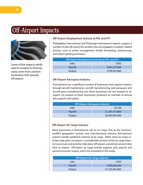# Off-Airport Impacts



Some of the impacts attributed to aviation in Pennsylvania come from aviation businesses that operate off-airport.

#### **Off-Airport Employment Activity at PHL and PIT**

Philadelphia International and Pittsburgh International airports support a number of jobs off-airport for workers who are engaged in aviation-related services, such as airline management, freight forwarding, warehousing, and airport parking provisions.

| Off-Airport Employment Activity at PHL and PIT |               |  |
|------------------------------------------------|---------------|--|
| Jobs                                           | 7.062         |  |
| Payroll                                        | \$241,377,600 |  |
| Output                                         | \$794,597,600 |  |

#### **Off-Airport Aerospace Industry**

Pennsylvania has a significant number of businesses that support aviation through aircraft maintenance, aircraft manufacturing, and aerospace and aircraft parts manufacturing, but these businesses are not located on an airport. An analysis of these businesses produced an estimate of annual jobs, payroll, and output.

| <b>Off-Airport Aerospace Industry</b> |                 |  |
|---------------------------------------|-----------------|--|
| Jobs                                  | 25,538          |  |
| Payroll                               | \$1,297,317,800 |  |
| Output                                | \$6,495,997,600 |  |

#### **Off-Airport Air Cargo Industry**

Many businesses in Pennsylvania rely on air cargo. Due to the Commonwealth's geographic location and manufacturing industry, Pennsylvania airports handle significant volumes of air cargo. While many air cargo activities take place on-airport, a considerable amount of the air cargo industry's processes and activities take place off-airport, sometimes several miles from an airport. Off-airport air cargo activity supports jobs, payroll, and annual economic output, which are estimated in this study.

| <b>Off-Airport Air Cargo Industry</b> |                 |  |
|---------------------------------------|-----------------|--|
| Jobs                                  | 7.003           |  |
| Payroll                               | \$395,062,300   |  |
| Output                                | \$1,103,381,800 |  |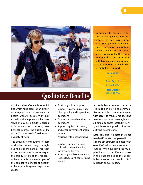

### Qualitative Benefits

Qualitative benefits are those activities which take place at an airport on a regular basis that enhance the health, welfare, or safety of individuals in the airport's market area. While it may be difficult to place a dollar value on such impacts, these benefits improve the quality of life of the Commonwealth's residents in a variety of ways.

The activities contributing to these qualitative benefits vary throughout the airport system, yet each airport contributes in some way to the quality of life of the residents of Pennsylvania. Some examples of the qualitative benefits of aviation at Pennsylvania system airports include:

- Providing police support
- • Supporting aerial surveying, photography, and inspection operations
- • Conducting search-and-rescue operations
- Supporting the U.S. military and other government organizations
- • Assisting with prisoner transport
- Supporting statewide agricultural activities including forestry and farming
- Providing youth outreach activities (e.g., Boy Scouts, Young Eagles)

In addition to being used for doctor and patient transport around the state, airports are also used by the healthcare industry to support a variety of medical teams and air ambulances. Analysis for this study indicates there are 25 airports with based air ambulances and crews or businesses involved in air ambulance support.

> **Total Jobs** 905

**Total Payroll** \$46,506,000

**Total Output** \$193,951,000

Air ambulance aviation serves a critical role in providing communities, especially those in rural areas, with access to medical facilities and trauma units. In fact several, but not all, air ambulances located in Pennsylvania are equipped to function as flying trauma units.

Data collected indicates there are nearly 420 workers employed in onairport air ambulance bases with over \$100 million in annual sales or output. When including the multiplier impacts, over 900 employees in the state are tied to the air ambulance sector with nearly \$194.0 million in annual impact.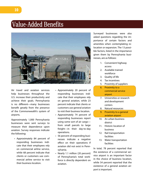# Value-Added Benefits



Air travel and aviation services help businesses throughout the U.S. increase their productivity and achieve their goals. Pennsylvania is no different—many businesses benefit greatly from the presence of the Commonwealth's system of airports.

Approximately 1,000 Pennsylvania businesses were sent surveys to measure their dependence upon aviation. Survey responses indicate the following:

• Approximately 84 percent of responding businesses indicate that their employees rely on commercial airline service, while 68 percent indicate that clients or customers use commercial airline service to visit their business location.

- • Approximately 20 percent of responding businesses indicate that their employees rely on general aviation, while 23 percent indicate that clients or customers use general aviation to visit their business location.
- Approximately 74 percent of responding businesses report using some sort of air cargo from small parcels to large freight—in their day-to-day operations.
- 56 percent of responding businesses indicate a negative effect on their operations if aviation did not exist in Pennsylvania.
- Nearly 1.1 million (20 percent) of Pennsylvania's total workforce is directly dependent on aviation.

Surveyed businesses were also asked questions regarding the importance of certain factors and amenities when contemplating relocation or expansion. The 13 possible factors, listed in the importance given them by Pennsylvania businesses, are as follows:

- 1. Convenient highway access
- 2. Available trained workforce
- 3. Quality of life
- 4. Tax incentives
- 5. Proximity of suppliers
- 6. Proximity to a commercial service airport
- 7. Universities or research and development centers
- 8. Natural resources
- 9. Proximity to a general aviation airport
- 10. An urban business district
- 11. Historic location of business
- 12. Rail transportation facilities
- 13. Water transportation facilities

In total, 78 percent reported that the existence of a commercial service airport is an important factor in the choice of business location, while 54 percent reported that the existence of a general aviation airport is important.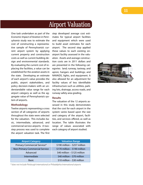# Airport Valuation

One task undertaken as part of the *Economic Impact of Aviation in Pennsylvania* study was to estimate the cost of constructing a representative sample of Pennsylvania's current airport system by applying current property and construction costs as well as current building design and environmental standards. By evaluating the current cost of replacing the facilities, a value can be established for the aviation assets in the state. Developing an estimate of each airport's value provides the public, airport stakeholders, and policy decision-makers with an understandable value range for each airport category as well as the aggregate value of Pennsylvania's system of airports.

#### **Methodology**

Twelve airports representing a cross section of all categories of airports throughout the state were selected for the valuation. This includes basic, intermediate, advanced, and commercial service airports. A twostep process was used to complete the airport valuation task. The first step developed average cost estimates for typical airport facilities and equipment which were used to build asset estimates for each airport. The second step applied these values to each existing onairport facility assessed in the valuation. Assets and average construction costs are in 2011 dollars and are presented in the following categories: land; runway, taxiway, and apron; hangars and buildings; and NAVAIDS, lights, and equipment. It also allowed for an adjustment for facility values of less identifiable infrastructure such as utilities, parking lots, drainage, access roads, and runway safety area grading.

#### **Results**

The valuation of the 12 airports assessed in this study demonstrates that the cost for each airport in the system varies based upon the size and category of the airport, facilities, and services offered, as well as location. The table illustrates the range of values associated with each category of airport studied.

| <b>Airport Category</b>               | <b>Valuation Range</b>          |
|---------------------------------------|---------------------------------|
| Primary Commercial Service*           | \$190 million - \$257 million   |
| <b>Non-Primary Commercial Service</b> | $$170$ million - $$190$ million |
| Advanced                              | \$40 million - \$125 million    |
| Intermediate                          | \$40 million - \$70 million     |
| <b>Basic</b>                          | \$10 million - \$30 million     |

*\* does not include Pittsburgh International or Philadelphia International airports*